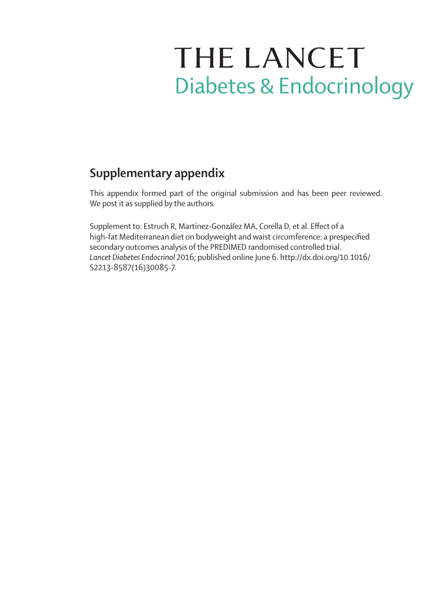# THE LANCET **Diabetes & Endocrinology**

## **Supplementary appendix**

This appendix formed part of the original submission and has been peer reviewed. We post it as supplied by the authors.

Supplement to: Estruch R, Martínez-González MA, Corella D, et al. Effect of a high-fat Mediterranean diet on bodyweight and waist circumference: a prespecified secondary outcomes analysis of the PREDIMED randomised controlled trial. *Lancet Diabetes Endocrinol* 2016; published online June 6. http://dx.doi.org/10.1016/ S2213-8587(16)30085-7.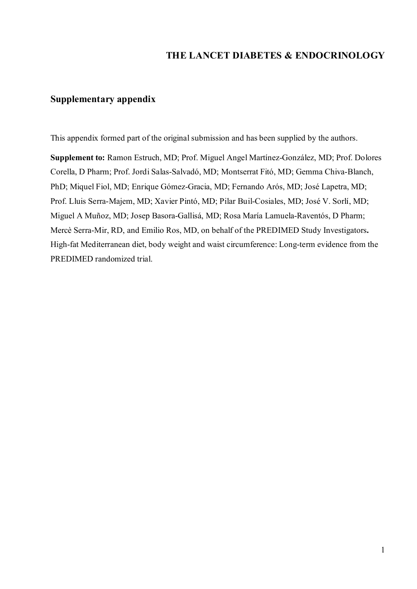## THE LANCET DIABETES & ENDOCRINOLOGY

## Supplementary appendix

This appendix formed part of the original submission and has been supplied by the authors.

Supplement to: Ramon Estruch, MD; Prof. Miguel Angel Martínez-González, MD; Prof. Dolores Corella, D Pharm; Prof. Jordi Salas-Salvadó, MD; Montserrat Fitó, MD; Gemma Chiva-Blanch, PhD; Miquel Fiol, MD; Enrique Gómez-Gracia, MD; Fernando Arós, MD; José Lapetra, MD; Prof. Lluis Serra-Majem, MD; Xavier Pintó, MD; Pilar Buil-Cosiales, MD; José V. Sorlí, MD; Miguel A Muñoz, MD; Josep Basora-Gallisá, MD; Rosa María Lamuela-Raventós, D Pharm; Mercè Serra-Mir, RD, and Emilio Ros, MD, on behalf of the PREDIMED Study Investigators. High-fat Mediterranean diet, body weight and waist circumference: Long-term evidence from the PREDIMED randomized trial.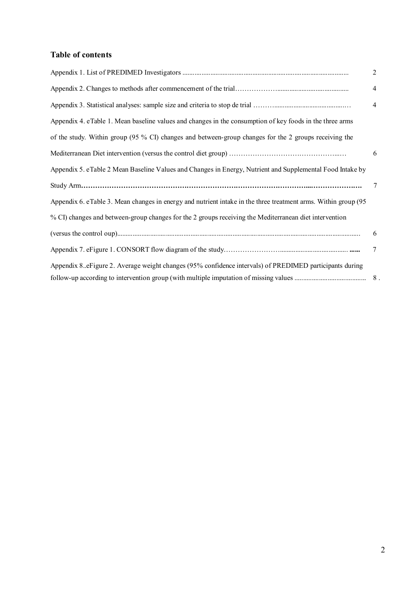## Table of contents

|                                                                                                                | $\overline{2}$ |
|----------------------------------------------------------------------------------------------------------------|----------------|
|                                                                                                                | 4              |
|                                                                                                                | 4              |
| Appendix 4. eTable 1. Mean baseline values and changes in the consumption of key foods in the three arms       |                |
| of the study. Within group (95 % CI) changes and between-group changes for the 2 groups receiving the          |                |
|                                                                                                                | 6              |
| Appendix 5. eTable 2 Mean Baseline Values and Changes in Energy, Nutrient and Supplemental Food Intake by      |                |
|                                                                                                                | 7              |
| Appendix 6. eTable 3. Mean changes in energy and nutrient intake in the three treatment arms. Within group (95 |                |
| % CI) changes and between-group changes for the 2 groups receiving the Mediterranean diet intervention         |                |
|                                                                                                                | 6              |
|                                                                                                                | 7              |
| Appendix 8. eFigure 2. Average weight changes (95% confidence intervals) of PREDIMED participants during       |                |
|                                                                                                                |                |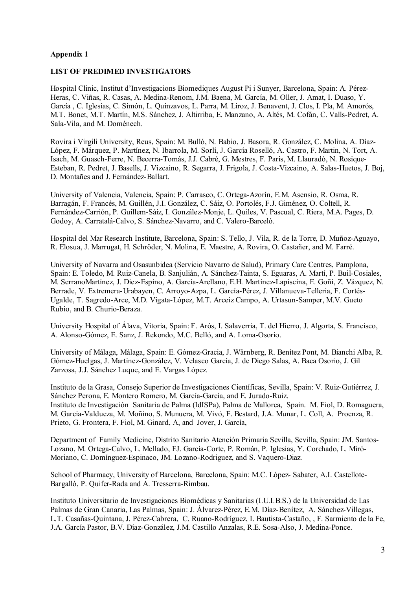#### LIST OF PREDIMED INVESTIGATORS

Hospital Clinic, Institut d'Investigacions Biomediques August Pi i Sunyer, Barcelona, Spain: A. Pérez-Heras, C. Viñas, R. Casas, A. Medina-Renom, J.M. Baena, M. García, M. Oller, J. Amat, I. Duaso, Y. García , C. Iglesias, C. Simón, L. Quinzavos, L. Parra, M. Liroz, J. Benavent, J. Clos, I. Pla, M. Amorós, M.T. Bonet, M.T. Martín, M.S. Sánchez, J. Altirriba, E. Manzano, A. Altés, M. Cofán, C. Valls-Pedret, A. Sala-Vila, and M. Doménech.

Rovira i Virgili University, Reus, Spain: M. Bulló, N. Babio, J. Basora, R. González, C. Molina, A. Díaz-López, F. Márquez, P. Martínez, N. Ibarrola, M. Sorlí, J. García Roselló, A. Castro, F. Martin, N. Tort, A. Isach, M. Guasch-Ferre, N. Becerra-Tomás, J.J. Cabré, G. Mestres, F. Paris, M. Llauradó, N. Rosique-Esteban, R. Pedret, J. Basells, J. Vizcaino, R. Segarra, J. Frigola, J. Costa-Vizcaino, A. Salas-Huetos, J. Boj, D. Montañes and J. Fernández-Ballart.

University of Valencia, Valencia, Spain: P. Carrasco, C. Ortega-Azorín, E.M. Asensio, R. Osma, R. Barragán, F. Francés, M. Guillén, J.I. González, C. Sáiz, O. Portolés, F.J. Giménez, O. Coltell, R. Fernández-Carrión, P. Guillem-Sáiz, I. González-Monje, L. Quiles, V. Pascual, C. Riera, M.A. Pages, D. Godoy, A. Carratalá-Calvo, S. Sánchez-Navarro, and C. Valero-Barceló.

Hospital del Mar Research Institute, Barcelona, Spain: S. Tello, J. Vila, R. de la Torre, D. Muñoz-Aguayo, R. Elosua, J. Marrugat, H. Schröder, N. Molina, E. Maestre, A. Rovira, O. Castañer, and M. Farré.

University of Navarra and Osasunbidea (Servicio Navarro de Salud), Primary Care Centres, Pamplona, Spain: E. Toledo, M. Ruiz-Canela, B. Sanjulián, A. Sánchez-Tainta, S. Eguaras, A. Martí, P. Buil-Cosiales, M. SerranoMartínez, J. Diez-Espino, A. García-Arellano, E.H. Martínez-Lapiscina, E. Goñi, Z. Vázquez, N. Berrade, V. Extremera-Urabayen, C. Arroyo-Azpa, L. García-Pérez, J. Villanueva-Telleria, F. Cortés-Ugalde, T. Sagredo-Arce, M.D. Vigata-López, M.T. Arceiz Campo, A. Urtasun-Samper, M.V. Gueto Rubio, and B. Churio-Beraza.

University Hospital of Álava, Vitoria, Spain: F. Arós, I. Salaverria, T. del Hierro, J. Algorta, S. Francisco, A. Alonso-Gómez, E. Sanz, J. Rekondo, M.C. Belló, and A. Loma-Osorio.

University of Málaga, Málaga, Spain: E. Gómez-Gracia, J. Wärnberg, R. Benítez Pont, M. Bianchi Alba, R. Gómez-Huelgas, J. Martínez-González, V. Velasco García, J. de Diego Salas, A. Baca Osorio, J. Gil Zarzosa, J.J. Sánchez Luque, and E. Vargas López.

Instituto de la Grasa, Consejo Superior de Investigaciones Científicas, Sevilla, Spain: V. Ruiz-Gutiérrez, J. Sánchez Perona, E. Montero Romero, M. García-García, and E. Jurado-Ruiz. Instituto de Investigación Sanitaria de Palma (IdISPa), Palma de Mallorca, Spain. M. Fiol, D. Romaguera, M. García-Valdueza, M. Moñino, S. Munuera, M. Vivó, F. Bestard, J.A. Munar, L. Coll, A. Proenza, R. Prieto, G. Frontera, F. Fiol, M. Ginard, A, and Jover, J. García,

Department of Family Medicine, Distrito Sanitario Atención Primaria Sevilla, Sevilla, Spain: JM. Santos-Lozano, M. Ortega-Calvo, L. Mellado, FJ. García-Corte, P. Román, P. Iglesias, Y. Corchado, L. Miró-Moriano, C. Domínguez-Espinaco, JM. Lozano-Rodriguez, and S. Vaquero-Diaz.

School of Pharmacy, University of Barcelona, Barcelona, Spain: M.C. López- Sabater, A.I. Castellote-Bargalló, P. Quifer-Rada and A. Tresserra-Rimbau.

Instituto Universitario de Investigaciones Biomédicas y Sanitarias (I.U.I.B.S.) de la Universidad de Las Palmas de Gran Canaria, Las Palmas, Spain: J. Álvarez-Pérez, E.M. Díaz-Benítez, A. Sánchez-Villegas, L.T. Casañas-Quintana, J. Pérez-Cabrera, C. Ruano-Rodríguez, I. Bautista-Castaño, , F. Sarmiento de la Fe, J.A. García Pastor, B.V. Díaz-González, J.M. Castillo Anzalas, R.E. Sosa-Also, J. Medina-Ponce.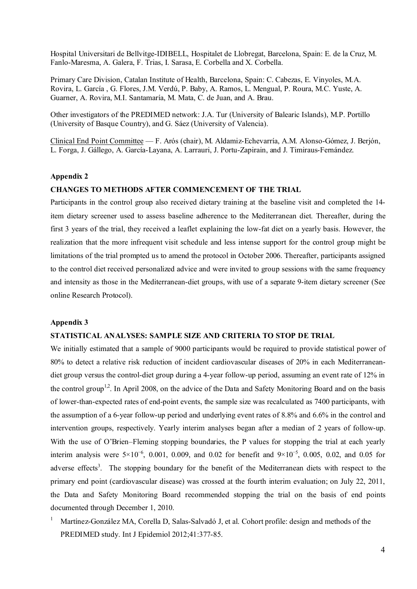Hospital Universitari de Bellvitge-IDIBELL, Hospitalet de Llobregat, Barcelona, Spain: E. de la Cruz, M. Fanlo-Maresma, A. Galera, F. Trias, I. Sarasa, E. Corbella and X. Corbella.

Primary Care Division, Catalan Institute of Health, Barcelona, Spain: C. Cabezas, E. Vinyoles, M.A. Rovira, L. García , G. Flores, J.M. Verdú, P. Baby, A. Ramos, L. Mengual, P. Roura, M.C. Yuste, A. Guarner, A. Rovira, M.I. Santamaría, M. Mata, C. de Juan, and A. Brau.

Other investigators of the PREDIMED network: J.A. Tur (University of Balearic Islands), M.P. Portillo (University of Basque Country), and G. Sáez (University of Valencia).

Clinical End Point Committee — F. Arós (chair), M. Aldamiz-Echevarría, A.M. Alonso-Gómez, J. Berjón, L. Forga, J. Gállego, A. García-Layana, A. Larrauri, J. Portu-Zapirain, and J. Timiraus-Fernández.

#### Appendix 2

#### CHANGES TO METHODS AFTER COMMENCEMENT OF THE TRIAL

Participants in the control group also received dietary training at the baseline visit and completed the 14 item dietary screener used to assess baseline adherence to the Mediterranean diet. Thereafter, during the first 3 years of the trial, they received a leaflet explaining the low-fat diet on a yearly basis. However, the realization that the more infrequent visit schedule and less intense support for the control group might be limitations of the trial prompted us to amend the protocol in October 2006. Thereafter, participants assigned to the control diet received personalized advice and were invited to group sessions with the same frequency and intensity as those in the Mediterranean-diet groups, with use of a separate 9-item dietary screener (See online Research Protocol).

#### Appendix 3

#### STATISTICAL ANALYSES: SAMPLE SIZE AND CRITERIA TO STOP DE TRIAL

We initially estimated that a sample of 9000 participants would be required to provide statistical power of 80% to detect a relative risk reduction of incident cardiovascular diseases of 20% in each Mediterraneandiet group versus the control-diet group during a 4-year follow-up period, assuming an event rate of 12% in the control group<sup>1,2</sup>. In April 2008, on the advice of the Data and Safety Monitoring Board and on the basis of lower-than-expected rates of end-point events, the sample size was recalculated as 7400 participants, with the assumption of a 6-year follow-up period and underlying event rates of 8.8% and 6.6% in the control and intervention groups, respectively. Yearly interim analyses began after a median of 2 years of follow-up. With the use of O'Brien–Fleming stopping boundaries, the P values for stopping the trial at each yearly interim analysis were  $5\times10^{-6}$ , 0.001, 0.009, and 0.02 for benefit and  $9\times10^{-5}$ , 0.005, 0.02, and 0.05 for adverse effects<sup>3</sup>. The stopping boundary for the benefit of the Mediterranean diets with respect to the primary end point (cardiovascular disease) was crossed at the fourth interim evaluation; on July 22, 2011, the Data and Safety Monitoring Board recommended stopping the trial on the basis of end points documented through December 1, 2010.

1 Martínez-González MA, Corella D, Salas-Salvadó J, et al. Cohort profile: design and methods of the PREDIMED study. Int J Epidemiol 2012;41:377-85.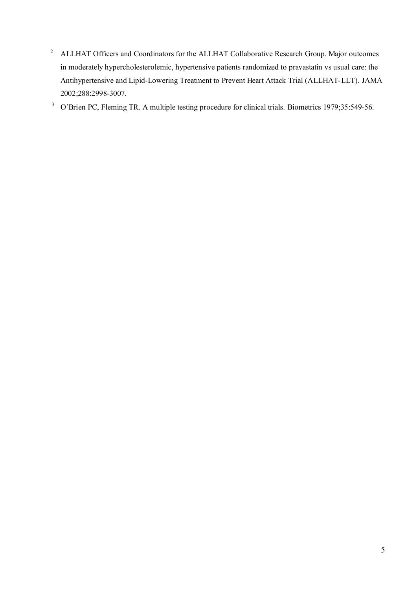2 ALLHAT Officers and Coordinators for the ALLHAT Collaborative Research Group. Major outcomes in moderately hypercholesterolemic, hypertensive patients randomized to pravastatin vs usual care: the Antihypertensive and Lipid-Lowering Treatment to Prevent Heart Attack Trial (ALLHAT-LLT). JAMA 2002;288:2998-3007.

<sup>3</sup> O'Brien PC, Fleming TR. A multiple testing procedure for clinical trials. Biometrics 1979;35:549-56.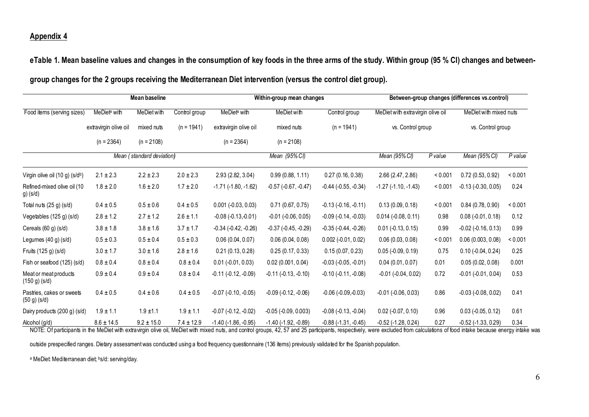eTable 1. Mean baseline values and changes in the consumption of key foods in the three arms of the study. Within group (95 % CI) changes and between-

|  |  |  | group changes for the 2 groups receiving the Mediterranean Diet intervention (versus the control diet group). |  |
|--|--|--|---------------------------------------------------------------------------------------------------------------|--|
|  |  |  |                                                                                                               |  |

|                                                                                                                                                                                                                                                 |                          | <b>Mean baseline</b>      |                |                               | Within-group mean changes        |                               | Between-group changes (differences vs.control)         |         |                                             |                    |  |
|-------------------------------------------------------------------------------------------------------------------------------------------------------------------------------------------------------------------------------------------------|--------------------------|---------------------------|----------------|-------------------------------|----------------------------------|-------------------------------|--------------------------------------------------------|---------|---------------------------------------------|--------------------|--|
| Food items (serving sizes)                                                                                                                                                                                                                      | MeDiet <sup>a</sup> with | MeDiet with               | Control group  | MeDiet <sup>a</sup> with      | <b>MeDiet with</b><br>mixed nuts | Control group<br>$(n = 1941)$ | MeDiet with extravirgin olive oil<br>vs. Control group |         | MeDiet with mixed nuts<br>vs. Control group |                    |  |
|                                                                                                                                                                                                                                                 | extravirgin olive oil    | mixed nuts                | $(n = 1941)$   | extravirgin olive oil         |                                  |                               |                                                        |         |                                             |                    |  |
|                                                                                                                                                                                                                                                 | $(n = 2364)$             | $(n = 2108)$              |                | $(n = 2364)$                  | $(n = 2108)$                     |                               |                                                        |         |                                             |                    |  |
|                                                                                                                                                                                                                                                 |                          | Mean (standard deviation) |                |                               | Mean (95% CI)                    |                               | Mean (95% CI)                                          | P value | Mean (95% CI)                               | P value            |  |
| Virgin olive oil (10 g) (s/db)                                                                                                                                                                                                                  | $2.1 \pm 2.3$            | $2.2 \pm 2.3$             | $2.0 \pm 2.3$  | 2.93 (2.82, 3.04)             | 0.99(0.88, 1.11)                 | 0.27(0.16, 0.38)              | 2.66 (2.47, 2.86)                                      | < 0.001 | 0.72(0.53, 0.92)                            | < 0.001            |  |
| Refined-mixed olive oil (10<br>$g)$ (s/d)                                                                                                                                                                                                       | $1.8 \pm 2.0$            | $1.6 \pm 2.0$             | $1.7 \pm 2.0$  | $-1.71$ $(-1.80, -1.62)$      | $-0.57$ $(-0.67, -0.47)$         | $-0.44$ $(-0.55, -0.34)$      | $-1.27$ $(-1.10, -1.43)$                               | < 0.001 | $-0.13$ $(-0.30, 0.05)$                     | 0.24               |  |
| Total nuts (25 g) (s/d)                                                                                                                                                                                                                         | $0.4 \pm 0.5$            | $0.5 \pm 0.6$             | $0.4 \pm 0.5$  | $0.001$ (-0.03, 0.03)         | 0.71(0.67, 0.75)                 | $-0.13(-0.16,-0.11)$          | 0.13(0.09, 0.18)                                       | < 0.001 | 0.84(0.78, 0.90)                            | < 0.001            |  |
| Vegetables (125 g) (s/d)                                                                                                                                                                                                                        | $2.8 \pm 1.2$            | $2.7 \pm 1.2$             | $2.6 \pm 1.1$  | $-0.08(-0.13,-0.01)$          | $-0.01$ $(-0.06, 0.05)$          | $-0.09$ $(-0.14, -0.03)$      | $0.014$ (-0.08, 0.11)                                  | 0.98    | $0.08$ (-0.01, 0.18)                        | 0.12               |  |
| Cereals (60 g) (s/d)                                                                                                                                                                                                                            | $3.8\pm1.8$              | $3.8 \pm 1.6$             | $3.7 \pm 1.7$  | $-0.34$ $(-0.42, -0.26)$      | $-0.37$ $(-0.45, -0.29)$         | $-0.35$ $(-0.44, -0.26)$      | $0.01$ (-0.13, 0.15)                                   | 0.99    | $-0.02$ $(-0.16, 0.13)$                     | 0.99               |  |
| Legumes (40 g) (s/d)                                                                                                                                                                                                                            | $0.5 \pm 0.3$            | $0.5 \pm 0.4$             | $0.5 \pm 0.3$  | 0.06(0.04, 0.07)              | 0.06(0.04, 0.08)                 | $0.002$ (-0.01, 0.02)         | 0.06(0.03, 0.08)                                       | < 0.001 | 0.06(0.003, 0.08)                           | < 0.001            |  |
| Fruits (125 g) (s/d)                                                                                                                                                                                                                            | $3.0 \pm 1.7$            | $3.0 \pm 1.6$             | $2.8 \pm 1.6$  | 0.21(0.13, 0.28)              | 0.25(0.17, 0.33)                 | 0.15(0.07, 0.23)              | $0.05$ (-0.09, 0.19)                                   | 0.75    | $0.10 (-0.04, 0.24)$                        | 0.25               |  |
| Fish or seafood (125) (s/d)                                                                                                                                                                                                                     | $0.8\pm0.4$              | $0.8 \pm 0.4$             | $0.8 \pm 0.4$  | $0.01 (-0.01, 0.03)$          | 0.02(0.001, 0.04)                | $-0.03$ $(-0.05, -0.01)$      | 0.04(0.01, 0.07)                                       | 0.01    | 0.05(0.02, 0.08)                            | 0.001              |  |
| Meat or meat products<br>(150 g)(s/d)                                                                                                                                                                                                           | $0.9 \pm 0.4$            | $0.9 \pm 0.4$             | $0.8 \pm 0.4$  | $-0.11$ $(-0.12, -0.09)$      | $-0.11(-0.13,-0.10)$             | $-0.10$ $(-0.11, -0.08)$      | $-0.01$ $(-0.04, 0.02)$                                | 0.72    | $-0.01$ $(-0.01, 0.04)$                     | 0.53               |  |
| Pastries, cakes or sweets<br>(50 g)(s/d)                                                                                                                                                                                                        | $0.4 \pm 0.5$            | $0.4 \pm 0.6$             | $0.4 \pm 0.5$  | $-0.07$ $(-0.10, -0.05)$      | $-0.09$ $(-0.12, -0.06)$         | $-0.06(-0.09,-0.03)$          | $-0.01$ $(-0.06, 0.03)$                                | 0.86    | $-0.03$ $(-0.08, 0.02)$                     | 0.41               |  |
| Dairy products (200 g) (s/d)                                                                                                                                                                                                                    | $1.9 \pm 1.1$            | $1.9 \pm 1.1$             | $1.9 \pm 1.1$  | $-0.07$ $(-0.12, -0.02)$      | $-0.05$ $(-0.09, 0.003)$         | $-0.08$ $(-0.13, -0.04)$      | $0.02$ (-0.07, 0.10)                                   | 0.96    | $0.03$ (-0.05, 0.12)                        | 0.61               |  |
| Alcohol (g/d)<br>MOTE, Of a subdivision to the McDistrictle exploration of the Additional and an and section of AD EZ and OF seutherate presentations and also and selected from a strip to the of the distribution of the section of the secti | $8.6 \pm 14.5$           | $9.2 \pm 15.0$            | $7.4 \pm 12.9$ | $-1.40$ ( $-1.86$ , $-0.95$ ) | $-1.40$ ( $-1.92$ , $-0.89$ )    | $-0.88$ $(-1.31, -0.45)$      | $-0.52$ ( $-1.28$ , $0.24$ )                           | 0.27    | $-0.52$ ( $-1.33, 0.29$ )                   | 0.34<br>مباحة مشار |  |

NOTE: Of participants in the MeDiet with extravirgin olive oil, MeDiet with mixed nuts, and control groups, 42, 57 and 25 participants, respectively, were excluded from calculations of food intake because energy intake was

outside prespecified ranges. Dietary assessment was conducted using a food frequency questionnaire (136 items) previously validated for the Spanish population.

<sup>a</sup> MeDiet: Mediterranean diet; <sup>b</sup>s/d: serving/day.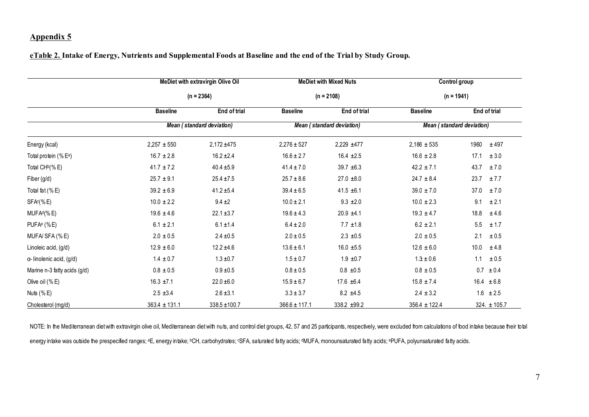#### eTable 2. Intake of Energy, Nutrients and Supplemental Foods at Baseline and the end of the Trial by Study Group.

|                                   | <b>MeDiet with extravirgin Olive Oil</b> |                   |                                  | <b>MeDiet with Mixed Nuts</b> | Control group             |                   |  |  |
|-----------------------------------|------------------------------------------|-------------------|----------------------------------|-------------------------------|---------------------------|-------------------|--|--|
|                                   |                                          | $(n = 2364)$      |                                  | $(n = 2108)$                  | $(n = 1941)$              |                   |  |  |
|                                   | <b>Baseline</b>                          | End of trial      | <b>Baseline</b>                  | End of trial                  | <b>Baseline</b>           | End of trial      |  |  |
|                                   | Mean (standard deviation)                |                   | <b>Mean (standard deviation)</b> |                               | Mean (standard deviation) |                   |  |  |
| Energy (kcal)                     | $2,257 \pm 550$                          | $2,172 + 475$     | $2,276 \pm 527$                  | 2,229 ±477                    | $2,186 \pm 535$           | 1960<br>± 497     |  |  |
| Total protein (% E <sup>a</sup> ) | $16.7 \pm 2.8$                           | $16.2 \pm 2.4$    | $16.6 \pm 2.7$                   | $16.4 \pm 2.5$                | $16.6 \pm 2.8$            | 17.1<br>± 3.0     |  |  |
| Total CH <sup>b</sup> (%E)        | $41.7 \pm 7.2$                           | $40.4 \pm 5.9$    | $41.4 \pm 7.0$                   | $39.7 + 6.3$                  | $42.2 \pm 7.1$            | 43.7<br>±7.0      |  |  |
| Fiber (g/d)                       | $25.7 \pm 9.1$                           | $25.4 \pm 7.5$    | $25.7 \pm 8.6$                   | $27.0 \pm 8.0$                | $24.7 \pm 8.4$            | 23.7<br>± 7.7     |  |  |
| Total fat (%E)                    | $39.2 \pm 6.9$                           | $41.2 \pm 5.4$    | $39.4 \pm 6.5$                   | $41.5 \pm 6.1$                | $39.0 \pm 7.0$            | 37.0<br>±7.0      |  |  |
| SFAc(%E)                          | $10.0 \pm 2.2$                           | $9.4 \pm 2$       | $10.0 \pm 2.1$                   | $9.3 \pm 2.0$                 | $10.0 \pm 2.3$            | 9.1<br>± 2.1      |  |  |
| MUFA <sup>d</sup> (%E)            | $19.6 \pm 4.6$                           | $22.1 \pm 3.7$    | $19.6 \pm 4.3$                   | $20.9 \pm 4.1$                | $19.3 \pm 4.7$            | 18.8<br>±4.6      |  |  |
| $PUFAe$ (%E)                      | $6.1 \pm 2.1$                            | $6.1 \pm 1.4$     | $6.4 \pm 2.0$                    | $7.7 \pm 1.8$                 | $6.2 \pm 2.1$             | 5.5<br>± 1.7      |  |  |
| MUFA/SFA (%E)                     | $2.0 \pm 0.5$                            | $2.4 \pm 0.5$     | $2.0 \pm 0.5$                    | $2.3 \pm 0.5$                 | $2.0 \pm 0.5$             | 2.1<br>$\pm 0.5$  |  |  |
| Linoleic acid, (g/d)              | $12.9 \pm 6.0$                           | $12.2 \pm 4.6$    | $13.6 \pm 6.1$                   | $16.0 \pm 5.5$                | $12.6 \pm 6.0$            | 10.0<br>±4.8      |  |  |
| a-linolenic acid, (g/d)           | $1.4 \pm 0.7$                            | $1.3 \pm 0.7$     | $1.5 \pm 0.7$                    | $1.9 \pm 0.7$                 | $1.3 \pm 0.6$             | 1.1<br>$\pm 0.5$  |  |  |
| Marine n-3 fatty acids (g/d)      | $0.8\,\pm0.5$                            | $0.9 \pm 0.5$     | $0.8\pm0.5$                      | $0.8 \pm 0.5$                 | $0.8 \pm 0.5$             | $0.7 \pm 0.4$     |  |  |
| Olive oil $(%E)$                  | $16.3 \pm 7.1$                           | $22.0 + 6.0$      | $15.9 \pm 6.7$                   | 17.6 $±6.4$                   | $15.8 \pm 7.4$            | $16.4 \pm 6.8$    |  |  |
| Nuts $(% E)$                      | $2.5 \pm 3.4$                            | $2.6 \pm 3.1$     | $3.3 \pm 3.7$                    | $8.2 \pm 4.5$                 | $2.4 \pm 3.2$             | $1.6 \pm 2.5$     |  |  |
| Cholesterol (mg/d)                | $363.4 \pm 131.1$                        | $338.5 \pm 100.7$ | $366.6 \pm 117.1$                | 338.2 ±99.2                   | $356.4 \pm 122.4$         | $324.1 \pm 105.7$ |  |  |

NOTE: In the Mediterranean diet with extravirgin olive oil, Mediterranean diet with nuts, and control diet groups, 42, 57 and 25 participants, respectively, were excluded from calculations of food intake because their tota energy intake was outside the prespecified ranges; <sup>a</sup>E, energy intake; <sup>b</sup>CH, carbohydrates; <sup>c</sup>SFA, saturated fatty acids; <sup>d</sup>MUFA, monounsaturated fatty acids; ePUFA, polyunsaturated fatty acids.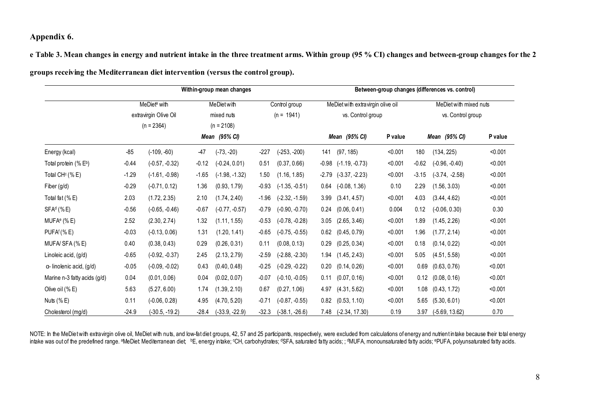## Appendix 6.

e Table 3. Mean changes in energy and nutrient intake in the three treatment arms. Within group (95 % CI) changes and between-group changes for the 2

|  |  | groups receiving the Mediterranean diet intervention (versus the control group). |  |
|--|--|----------------------------------------------------------------------------------|--|
|  |  |                                                                                  |  |

|                                  |                                         | Within-group mean changes |            |                  |              |                  |                                   | Between-group changes (differences vs. control) |                   |                        |                  |         |  |
|----------------------------------|-----------------------------------------|---------------------------|------------|------------------|--------------|------------------|-----------------------------------|-------------------------------------------------|-------------------|------------------------|------------------|---------|--|
|                                  | MeDiet <sup>a</sup> with<br>MeDiet with |                           |            |                  |              | Control group    | MeDiet with extravirgin olive oil |                                                 |                   | MeDiet with mixed nuts |                  |         |  |
|                                  |                                         | extravirgin Olive Oil     | mixed nuts |                  | $(n = 1941)$ |                  | vs. Control group                 |                                                 | vs. Control group |                        |                  |         |  |
|                                  |                                         | $(n = 2364)$              |            | $(n = 2108)$     |              |                  |                                   |                                                 |                   |                        |                  |         |  |
|                                  |                                         |                           |            | Mean (95% CI)    |              |                  |                                   | Mean (95% CI)                                   | P value           |                        | Mean (95% CI)    | P value |  |
| Energy (kcal)                    | $-85$                                   | $(-109, -60)$             | -47        | $(-73, -20)$     | -227         | $(-253, -200)$   | 141                               | (97, 185)                                       | < 0.001           | 180                    | (134, 225)       | < 0.001 |  |
| Total protein (% Eb)             | $-0.44$                                 | $(-0.57, -0.32)$          | $-0.12$    | $(-0.24, 0.01)$  | 0.51         | (0.37, 0.66)     | $-0.98$                           | $(-1.19, -0.73)$                                | < 0.001           | $-0.62$                | $(-0.96, -0.40)$ | < 0.001 |  |
| Total CH <sup>c</sup> (%E)       | $-1.29$                                 | $(-1.61, -0.98)$          | $-1.65$    | $(-1.98, -1.32)$ | 1.50         | (1.16, 1.85)     | $-2.79$                           | $(-3.37, -2.23)$                                | < 0.001           | $-3.15$                | $(-3.74, -2.58)$ | < 0.001 |  |
| Fiber (g/d)                      | $-0.29$                                 | $(-0.71, 0.12)$           | 1.36       | (0.93, 1.79)     | $-0.93$      | $(-1.35, -0.51)$ | 0.64                              | $(-0.08, 1.36)$                                 | 0.10              | 2.29                   | (1.56, 3.03)     | < 0.001 |  |
| Total fat (%E)                   | 2.03                                    | (1.72, 2.35)              | 2.10       | (1.74, 2.40)     | $-1.96$      | $(-2.32, -1.59)$ | 3.99                              | (3.41, 4.57)                                    | < 0.001           | 4.03                   | (3.44, 4.62)     | < 0.001 |  |
| $SFAd$ (%E)                      | $-0.56$                                 | $(-0.65, -0.46)$          | $-0.67$    | $(-0.77, -0.57)$ | $-0.79$      | $(-0.90, -0.70)$ | 0.24                              | (0.06, 0.41)                                    | 0.004             | 0.12                   | $(-0.06, 0.30)$  | 0.30    |  |
| MUFA <sup>e</sup> (%E)           | 2.52                                    | (2.30, 2.74)              | 1.32       | (1.11, 1.55)     | $-0.53$      | $(-0.78, -0.28)$ | 3.05                              | (2.65, 3.46)                                    | < 0.001           | 1.89                   | (1.45, 2.26)     | < 0.001 |  |
| PUFA <sup>f</sup> (% E)          | $-0.03$                                 | $(-0.13, 0.06)$           | 1.31       | (1.20, 1.41)     | $-0.65$      | $(-0.75, -0.55)$ | 0.62                              | (0.45, 0.79)                                    | < 0.001           | 1.96                   | (1.77, 2.14)     | < 0.001 |  |
| MUFA/SFA (%E)                    | 0.40                                    | (0.38, 0.43)              | 0.29       | (0.26, 0.31)     | 0.11         | (0.08, 0.13)     | 0.29                              | (0.25, 0.34)                                    | < 0.001           | 0.18                   | (0.14, 0.22)     | < 0.001 |  |
| Linoleic acid, (g/d)             | $-0.65$                                 | $(-0.92, -0.37)$          | 2.45       | (2.13, 2.79)     | $-2.59$      | $(-2.88, -2.30)$ | 1.94                              | (1.45, 2.43)                                    | < 0.001           | 5.05                   | (4.51, 5.58)     | < 0.001 |  |
| $\alpha$ - linolenic acid, (g/d) | $-0.05$                                 | $(-0.09, -0.02)$          | 0.43       | (0.40, 0.48)     | $-0.25$      | $(-0.29, -0.22)$ | 0.20                              | (0.14, 0.26)                                    | < 0.001           | 0.69                   | (0.63, 0.76)     | < 0.001 |  |
| Marine n-3 fatty acids (g/d)     | 0.04                                    | (0.01, 0.06)              | 0.04       | (0.02, 0.07)     | $-0.07$      | $(-0.10, -0.05)$ | 0.11                              | (0.07, 0.16)                                    | < 0.001           | 0.12                   | (0.08, 0.16)     | < 0.001 |  |
| Olive oil (% E)                  | 5.63                                    | (5.27, 6.00)              | 1.74       | (1.39, 2.10)     | 0.67         | (0.27, 1.06)     | 4.97                              | (4.31, 5.62)                                    | < 0.001           | 1.08                   | (0.43, 1.72)     | < 0.001 |  |
| Nuts $(%E)$                      | 0.11                                    | $(-0.06, 0.28)$           | 4.95       | (4.70, 5.20)     | $-0.71$      | $(-0.87, -0.55)$ | 0.82                              | (0.53, 1.10)                                    | < 0.001           | 5.65                   | (5.30, 6.01)     | < 0.001 |  |
| Cholesterol (mg/d)               | $-24.9$                                 | (-30.5, -19.2)            | -28.4      | $(-33.9, -22.9)$ | $-32.3$      | $(-38.1, -26.6)$ | 7.48                              | $(-2.34, 17.30)$                                | 0.19              | 3.97                   | $(-5.69, 13.62)$ | 0.70    |  |

NOTE: In the MeDiet with extravirgin olive oil, MeDiet with nuts, and low-fat diet groups, 42, 57 and 25 participants, respectively, were excluded from calculations of energy and nutrient intake because their total energy intake was out of the predefined range. <sup>a</sup>MeDiet: Mediterranean diet; bE, energy intake; CCH, carbohydrates; dSFA, saturated fatty acids; ; dMUFA, monounsaturated fatty acids; ePUFA, polyunsaturated fatty acids.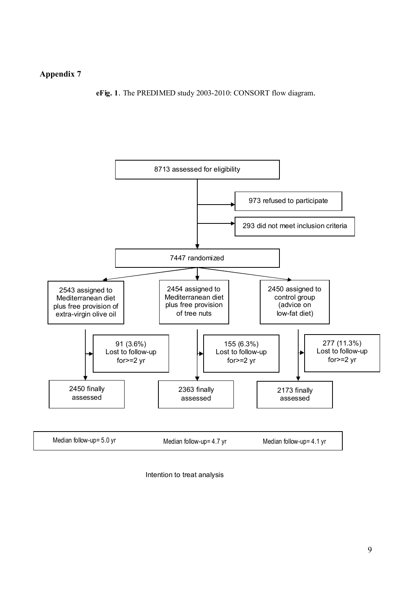eFig. 1. The PREDIMED study 2003-2010: CONSORT flow diagram.



Intention to treat analysis